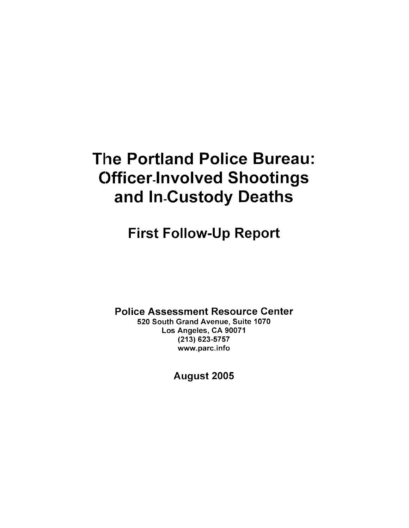## The Portland Police Bureau: **Officer-Involved Shootings** and In-Custody Deaths

## First Follow-Up Report

Police Assessment Resource Genter

520 South Grand Avenue, Suite 1070 Los Angeles, CA 90071 (213) 623-5757 www.parc.info

August 2005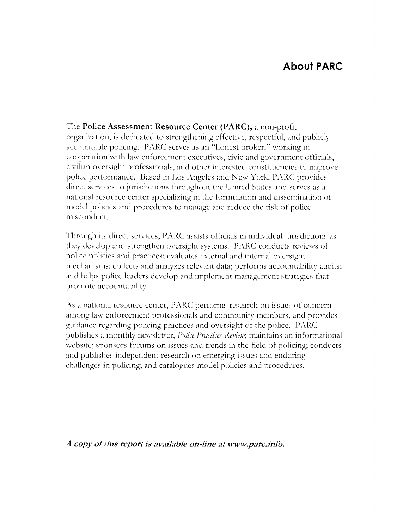## **About PARC**

The Police Assessment Resource Center (PARC), a non-profit organization, is dedicated to strengthening effective, respectful, and publicly accountable policing. PARC serves as an "honest broker," working in cooperation with law enforcement executives, civic and government officials, civilian oversight professionals, and other interested constituencies to improve police performance. Based in Los Angeles and New York, PARC provides direct services to jurisdictions throughout the United States and serves as a national resource center specializing in the formulation and dissemination of model policies and procedures to manage and reduce the risk of police misconduct.

Through its direct services, PARC assists officials in individual jurisdictions as they develop and strengthen oversight systems. PARC conducts reviews of police policies and practices; evaluates external and internal oversight mechanisms; collects and analyzes relevant data; performs accountability audits; and helps police leaders develop and implement management strategies that promote accountability.

As a national resource center, PARC performs research on issues of concern among law enforcement professionals and community members, and provides guidance regarding policing practices and oversight of the police. PARC publishes a monthly newsletter, *Police Practices Review*; maintains an informational website; sponsors forums on issues and trends in the field of policing; conducts and publishes independent research on emerging issues and enduring challenges in policing; and catalogues model policies and procedures.

A copy of this report is available on-line at www.parc.info.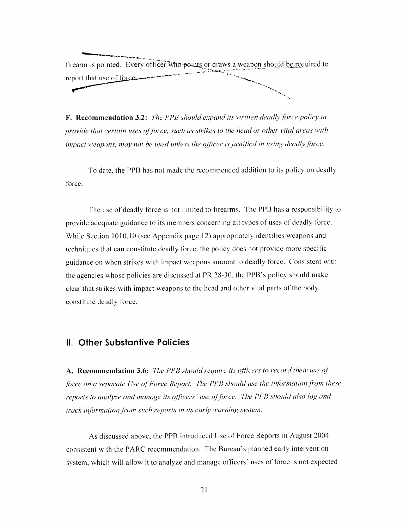firearm is pointed. Every officer who points or draws a weapon should be required to report that use of force.

**F. Recommendation 3.2:** The PPB should expand its written deadly force policy to provide that certain uses of force, such as strikes to the head or other vital areas with impact weapons, may not be used unless the officer is justified in using deadly force.

To date, the PPB has not made the recommended addition to its policy on deadly force.

The use of deadly force is not limited to firearms. The PPB has a responsibility to provide adequate guidance to its members concerning all types of uses of deadly force. While Section 1010.10 (see Appendix page 12) appropriately identifies weapons and techniques that can constitute deadly force, the policy does not provide more specific guidance on when strikes with impact weapons amount to deadly force. Consistent with the agencies whose policies are discussed at PR 28-30, the PPB's policy should make clear that strikes with impact weapons to the head and other vital parts of the body constitute deadly force.

## **II. Other Substantive Policies**

A. Recommendation 3.6: The PPB should require its officers to record their use of force on a separate Use of Force Report. The PPB should use the information from these reports to analyze and manage its officers' use of force. The PPB should also log and track information from such reports in its early warning system.

As discussed above, the PPB introduced Use of Force Reports in August 2004 consistent with the PARC recommendation. The Bureau's planned early intervention system, which will allow it to analyze and manage officers' uses of force is not expected